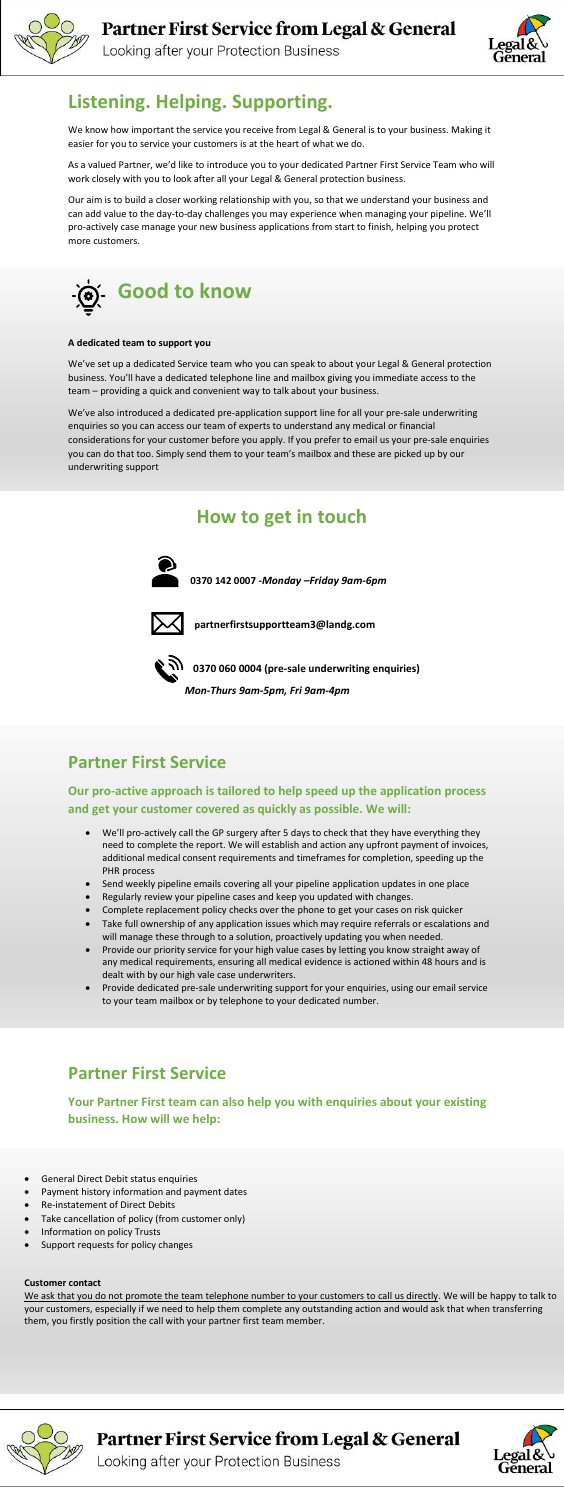

Looking after your Protection Business



#### **Customer contact**

We ask that you do not promote the team telephone number to your customers to call us directly. We will be happy to talk to your customers, especially if we need to help them complete any outstanding action and would ask that when transferring them, you firstly position the call with your partner first team member.



Partner First Service from Legal & General



Looking after your Protection Business

# **Listening. Helping. Supporting.**

We know how important the service you receive from Legal & General is to your business. Making it easier for you to service your customers is at the heart of what we do.

As a valued Partner, we'd like to introduce you to your dedicated Partner First Service Team who will work closely with you to look after all your Legal & General protection business.

Our aim is to build a closer working relationship with you, so that we understand your business and can add value to the day-to-day challenges you may experience when managing your pipeline. We'll pro-actively case manage your new business applications from start to finish, helping you protect more customers.



### **A dedicated team to support you**

We've set up a dedicated Service team who you can speak to about your Legal & General protection business. You'll have a dedicated telephone line and mailbox giving you immediate access to the team – providing a quick and convenient way to talk about your business.

We've also introduced a dedicated pre-application support line for all your pre-sale underwriting enquiries so you can access our team of experts to understand any medical or financial considerations for your customer before you apply. If you prefer to email us your pre-sale enquiries you can do that too. Simply send them to your team's mailbox and these are picked up by our underwriting support

## **How to get in touch**



**0370 142 0007 -***Monday –Friday 9am-6pm*



 **partnerfirstsupportteam3@landg.com**



**0370 060 0004 (pre-sale underwriting enquiries)**

*Mon-Thurs 9am**-5pm, Fri 9am-4pm* 

## **Partner First Service**

### **Our pro-active approach is tailored to help speed up the application process and get your customer covered as quickly as possible. We will:**

• We'll pro-actively call the GP surgery after 5 days to check that they have everything they need to complete the report. We will establish and action any upfront payment of invoices,

additional medical consent requirements and timeframes for completion, speeding up the PHR process

- Send weekly pipeline emails covering all your pipeline application updates in one place
- Regularly review your pipeline cases and keep you updated with changes.
- Complete replacement policy checks over the phone to get your cases on risk quicker
- Take full ownership of any application issues which may require referrals or escalations and will manage these through to a solution, proactively updating you when needed.
- Provide our priority service for your high value cases by letting you know straight away of any medical requirements, ensuring all medical evidence is actioned within 48 hours and is dealt with by our high vale case underwriters.
- Provide dedicated pre-sale underwriting support for your enquiries, using our email service to your team mailbox or by telephone to your dedicated number.

## **Partner First Service**

**Your Partner First team can also help you with enquiries about your existing business. How will we help:**

- General Direct Debit status enquiries
- Payment history information and payment dates
- Re-instatement of Direct Debits
- Take cancellation of policy (from customer only)
- Information on policy Trusts
- Support requests for policy changes